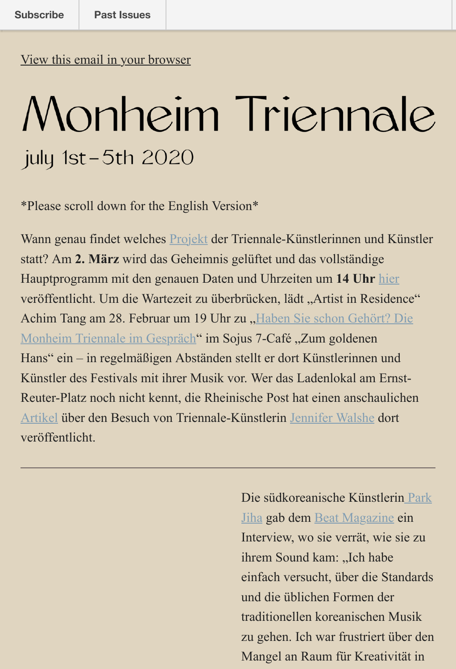## Monheim Triennale july 1st-5th 2020

\*Please scroll down for the English Version\*

Wann genau findet welches Projekt der Triennale-Künstlerinnen und Künstler statt? Am **2. März** wird das Geheimnis gelüftet und das vollständige Hauptprogramm mit den genauen Daten und Uhrzeiten um **14 Uhr** hier veröffentlicht. Um die Wartezeit zu überbrücken, lädt "Artist in Residence" Achim Tang am 28. Februa[r um 19](https://monheim-triennale.de/de/programm) Uhr zu "Haben Sie schon Gehört? Die Monheim Triennale im Gespräch" im Sojus 7-Café "Zum goldenen Hans" ein – in regelmäßigen Abständen stellt er dort Künstlerinnen [und](https://monheim-triennale.de/de/programm) Künstler des Festivals mit ihrer Musik vor. Wer das Ladenlokal am Ernst-Reuter-Platz noch nicht kennt, die Rheinische Post hat einen anschaulichen [Artikel über den Besuch von Triennale-Künstlerin Jennifer Walshe dort](https://www.airmonheim.de/veranstaltungen) veröffentlicht.

> Die südk[oreanische Küns](https://monheim-triennale.de/de/the-artists/jennifer-walshe)tlerin Park Jiha gab dem Beat Magazine ein Interview, wo sie verrät, wie sie zu ihrem Sound kam: "Ich habe einfach versucht, über die Standards [und die üblichen Formen der](https://www.monheim-triennale.de/de/the-artists/park-jiha) traditionellen koreanischen Musik zu gehen. Ich war frustriert über den Mangel an Raum für Kreativität in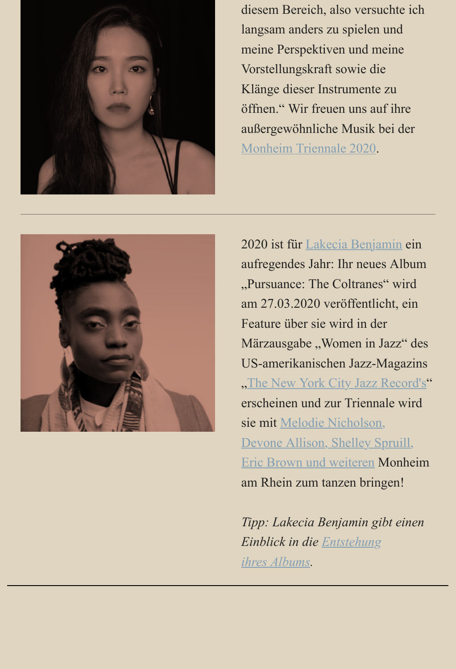

Klänge dieser Instrumente zu öffnen." Wir freuen uns auf ihre außergewöhnliche Musik bei der Monheim Triennale 2020.



[2020 ist für Lakecia Benja](https://monheim-triennale.de/de/das-festival/ueber)min ein aufregendes Jahr: Ihr neues Album "Pursuance: The Coltranes" wird am 27.03.2020 veröffentlicht, ein Feature übe[r sie wird in der](https://monheim-triennale.de/de/the-artists/lakecia-benjamin) Märzausgabe "Women in Jazz" des US-amerikanischen Jazz-Magazins "The New York City Jazz Record's" erscheinen und zur Triennale wird sie mit Melodie Nicholson, Devone Allison, Shelley Spruill, [Eric Brown und weiteren](http://www.nycjazzrecord.com/) Monheim am Rhein zum tanzen bringen!

*[Tipp: Lakecia Benjamin gibt eine](https://monheim-triennale.de/de/programm)n Einblick in die Entstehung ihres Albums.*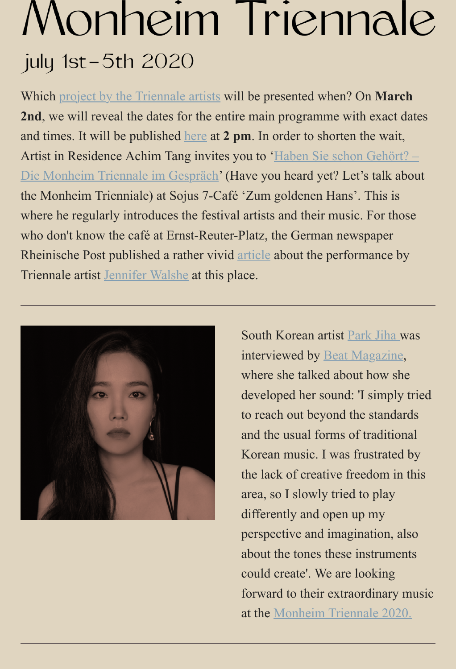Which project by the Triennale artists will be presented when? On **March 2nd**, we will reveal the dates for the entire main programme with exact dates and times. It will be published here at **2 pm**. In order to shorten the wait, Artist in Residence Achim Tang invites you to 'Haben Sie schon Gehört? – Die M[onheim Triennale im Gespräch'](https://monheim-triennale.de/en/programm) (Have you heard yet? Let's talk about the Monheim Trienniale) at Sojus 7-Café 'Zum goldenen Hans'. This is where he regularly introduces [the fe](https://monheim-triennale.de/en/programm)stival artists and their music. For those who don't know the café at Ernst-Reuter-Platz, the German newspaper [Rheinische Post published a rather vivid article about the performance by](https://www.airmonheim.de/veranstaltungen) Triennale artist Jennifer Walshe at this place.



[South](https://rp-online.de/nrw/staedte/langenfeld/monheim-das-sojus-heisst-gerade-goldener-hans_aid-48946777) Korean artist Park Jiha was interviewed by Beat Magazine, where she talked about how she developed her sound: 'I simply tried to reach out beyond [the standa](https://www.monheim-triennale.de/en/the-artists/park-jiha)rds and the usual f[orms of tradition](https://www.beat.com.au/south-korean-composer-park-jiha-guides-us-through-her-genre-defying-sound/)al Korean music. I was frustrated by the lack of creative freedom in this area, so I slowly tried to play differently and open up my perspective and imagination, also about the tones these instruments could create'. We are looking forward to their extraordinary music at the Monheim Triennale 2020.